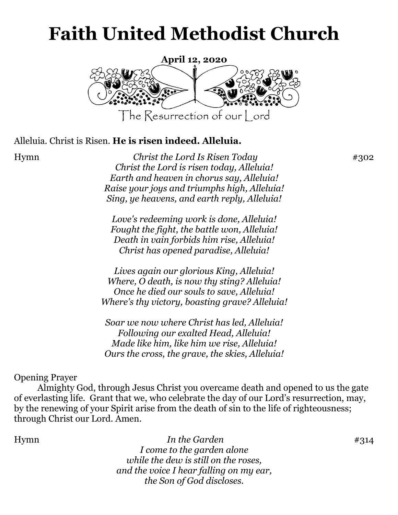# **Faith United Methodist Church**



# Alleluia. Christ is Risen. **He is risen indeed. Alleluia.**

Hymn *Christ the Lord Is Risen Today* #302 *Christ the Lord is risen today, Alleluia! Earth and heaven in chorus say, Alleluia! Raise your joys and triumphs high, Alleluia! Sing, ye heavens, and earth reply, Alleluia!* 

> *Love's redeeming work is done, Alleluia! Fought the fight, the battle won, Alleluia! Death in vain forbids him rise, Alleluia! Christ has opened paradise, Alleluia!*

*Lives again our glorious King, Alleluia! Where, O death, is now thy sting? Alleluia! Once he died our souls to save, Alleluia! Where's thy victory, boasting grave? Alleluia!* 

*Soar we now where Christ has led, Alleluia! Following our exalted Head, Alleluia! Made like him, like him we rise, Alleluia! Ours the cross, the grave, the skies, Alleluia!*

## Opening Prayer

Almighty God, through Jesus Christ you overcame death and opened to us the gate of everlasting life. Grant that we, who celebrate the day of our Lord's resurrection, may, by the renewing of your Spirit arise from the death of sin to the life of righteousness; through Christ our Lord. Amen.

Hymn *In the Garden #*314 *I come to the garden alone while the dew is still on the roses, and the voice I hear falling on my ear, the Son of God discloses.*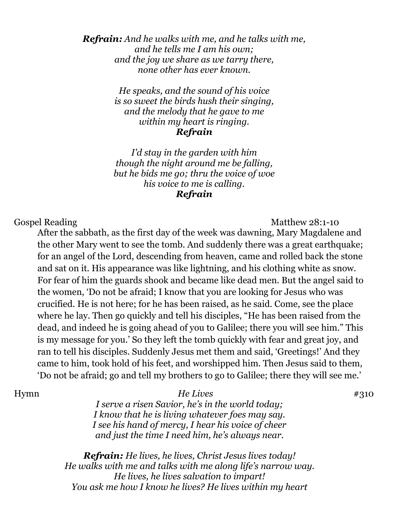*Refrain: And he walks with me, and he talks with me, and he tells me I am his own; and the joy we share as we tarry there, none other has ever known.* 

> *He speaks, and the sound of his voice is so sweet the birds hush their singing, and the melody that he gave to me within my heart is ringing. Refrain*

> *I'd stay in the garden with him though the night around me be falling, but he bids me go; thru the voice of woe his voice to me is calling. Refrain*

Gospel Reading Matthew 28:1-10

After the sabbath, as the first day of the week was dawning, Mary Magdalene and the other Mary went to see the tomb. And suddenly there was a great earthquake; for an angel of the Lord, descending from heaven, came and rolled back the stone and sat on it. His appearance was like lightning, and his clothing white as snow. For fear of him the guards shook and became like dead men. But the angel said to the women, 'Do not be afraid; I know that you are looking for Jesus who was crucified. He is not here; for he has been raised, as he said. Come, see the place where he lay. Then go quickly and tell his disciples, "He has been raised from the dead, and indeed he is going ahead of you to Galilee; there you will see him." This is my message for you.' So they left the tomb quickly with fear and great joy, and ran to tell his disciples. Suddenly Jesus met them and said, 'Greetings!' And they came to him, took hold of his feet, and worshipped him. Then Jesus said to them, 'Do not be afraid; go and tell my brothers to go to Galilee; there they will see me.'

#### Hymn *He Lives* #310

*I serve a risen Savior, he's in the world today; I know that he is living whatever foes may say. I see his hand of mercy, I hear his voice of cheer and just the time I need him, he's always near.*

*Refrain: He lives, he lives, Christ Jesus lives today! He walks with me and talks with me along life's narrow way. He lives, he lives salvation to impart! You ask me how I know he lives? He lives within my heart*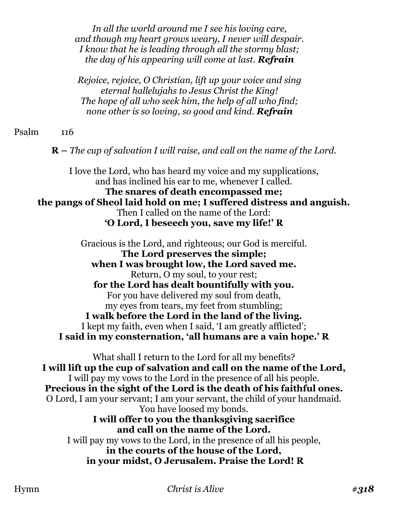*In all the world around me I see his loving care, and though my heart grows weary, I never will despair. I know that he is leading through all the stormy blast; the day of his appearing will come at last. Refrain*

*Rejoice, rejoice, O Christian, lift up your voice and sing eternal hallelujahs to Jesus Christ the King! The hope of all who seek him, the help of all who find; none other is so loving, so good and kind. Refrain*

## Psalm 116

**R –** *The cup of salvation I will raise, and call on the name of the Lord.*

I love the Lord, who has heard my voice and my supplications, and has inclined his ear to me, whenever I called. **The snares of death encompassed me; the pangs of Sheol laid hold on me; I suffered distress and anguish.** Then I called on the name of the Lord: **'O Lord, I beseech you, save my life!' R**

Gracious is the Lord, and righteous; our God is merciful. **The Lord preserves the simple; when I was brought low, the Lord saved me.** Return, O my soul, to your rest; **for the Lord has dealt bountifully with you.** For you have delivered my soul from death, my eyes from tears, my feet from stumbling; **I walk before the Lord in the land of the living.** I kept my faith, even when I said, 'I am greatly afflicted'; **I said in my consternation, 'all humans are a vain hope.' R**

What shall I return to the Lord for all my benefits? **I will lift up the cup of salvation and call on the name of the Lord,** I will pay my vows to the Lord in the presence of all his people. **Precious in the sight of the Lord is the death of his faithful ones.** O Lord, I am your servant; I am your servant, the child of your handmaid. You have loosed my bonds. **I will offer to you the thanksgiving sacrifice and call on the name of the Lord.** I will pay my vows to the Lord, in the presence of all his people, **in the courts of the house of the Lord, in your midst, O Jerusalem. Praise the Lord! R**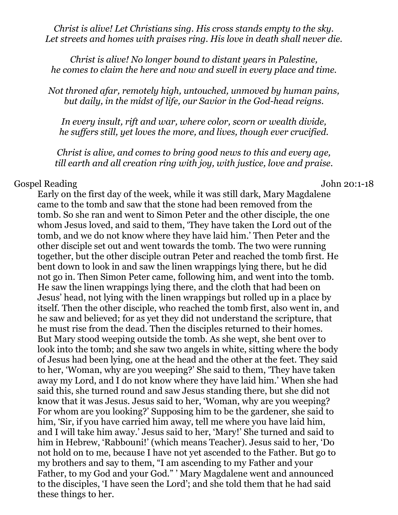*Christ is alive! Let Christians sing. His cross stands empty to the sky. Let streets and homes with praises ring. His love in death shall never die.*

*Christ is alive! No longer bound to distant years in Palestine, he comes to claim the here and now and swell in every place and time.*

*Not throned afar, remotely high, untouched, unmoved by human pains, but daily, in the midst of life, our Savior in the God-head reigns.*

*In every insult, rift and war, where color, scorn or wealth divide, he suffers still, yet loves the more, and lives, though ever crucified.*

*Christ is alive, and comes to bring good news to this and every age, till earth and all creation ring with joy, with justice, love and praise.*

#### Gospel Reading John 20:1-18

Early on the first day of the week, while it was still dark, Mary Magdalene came to the tomb and saw that the stone had been removed from the tomb. So she ran and went to Simon Peter and the other disciple, the one whom Jesus loved, and said to them, 'They have taken the Lord out of the tomb, and we do not know where they have laid him.' Then Peter and the other disciple set out and went towards the tomb. The two were running together, but the other disciple outran Peter and reached the tomb first. He bent down to look in and saw the linen wrappings lying there, but he did not go in. Then Simon Peter came, following him, and went into the tomb. He saw the linen wrappings lying there, and the cloth that had been on Jesus' head, not lying with the linen wrappings but rolled up in a place by itself. Then the other disciple, who reached the tomb first, also went in, and he saw and believed; for as yet they did not understand the scripture, that he must rise from the dead. Then the disciples returned to their homes. But Mary stood weeping outside the tomb. As she wept, she bent over to look into the tomb; and she saw two angels in white, sitting where the body of Jesus had been lying, one at the head and the other at the feet. They said to her, 'Woman, why are you weeping?' She said to them, 'They have taken away my Lord, and I do not know where they have laid him.' When she had said this, she turned round and saw Jesus standing there, but she did not know that it was Jesus. Jesus said to her, 'Woman, why are you weeping? For whom are you looking?' Supposing him to be the gardener, she said to him, 'Sir, if you have carried him away, tell me where you have laid him, and I will take him away.' Jesus said to her, 'Mary!' She turned and said to him in Hebrew, 'Rabbouni!' (which means Teacher). Jesus said to her, 'Do not hold on to me, because I have not yet ascended to the Father. But go to my brothers and say to them, "I am ascending to my Father and your Father, to my God and your God." ' Mary Magdalene went and announced to the disciples, 'I have seen the Lord'; and she told them that he had said these things to her.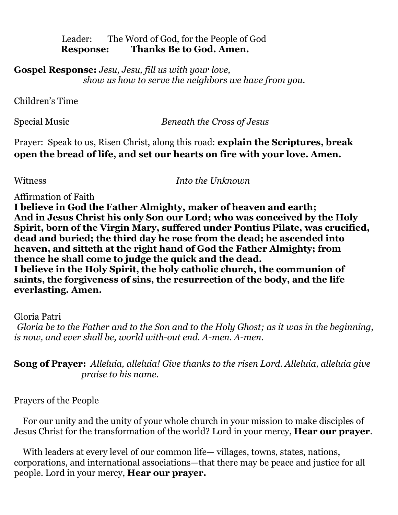## Leader: The Word of God, for the People of God **Response: Thanks Be to God. Amen.**

**Gospel Response:** *Jesu, Jesu, fill us with your love, show us how to serve the neighbors we have from you.*

Children's Time

Special Music *Beneath the Cross of Jesus*

Prayer: Speak to us, Risen Christ, along this road: **explain the Scriptures, break open the bread of life, and set our hearts on fire with your love. Amen.**

Witness *Into the Unknown*

Affirmation of Faith

**I believe in God the Father Almighty, maker of heaven and earth; And in Jesus Christ his only Son our Lord; who was conceived by the Holy Spirit, born of the Virgin Mary, suffered under Pontius Pilate, was crucified, dead and buried; the third day he rose from the dead; he ascended into heaven, and sitteth at the right hand of God the Father Almighty; from thence he shall come to judge the quick and the dead. I believe in the Holy Spirit, the holy catholic church, the communion of saints, the forgiveness of sins, the resurrection of the body, and the life everlasting. Amen.** Ĭ

Gloria Patri

*Gloria be to the Father and to the Son and to the Holy Ghost; as it was in the beginning, is now, and ever shall be, world with-out end. A-men. A-men.*

**Song of Prayer:** *Alleluia, alleluia! Give thanks to the risen Lord. Alleluia, alleluia give praise to his name.*

Prayers of the People

 For our unity and the unity of your whole church in your mission to make disciples of Jesus Christ for the transformation of the world? Lord in your mercy, **Hear our prayer**.

With leaders at every level of our common life— villages, towns, states, nations, corporations, and international associations—that there may be peace and justice for all people. Lord in your mercy, **Hear our prayer.**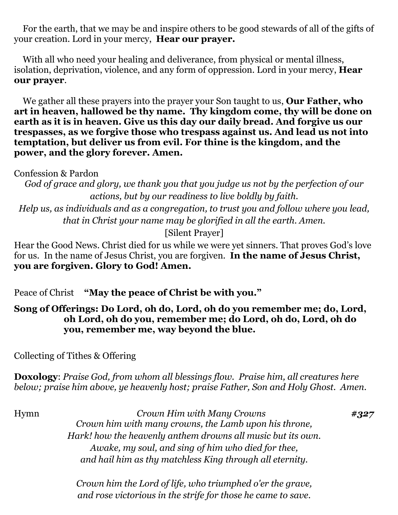For the earth, that we may be and inspire others to be good stewards of all of the gifts of your creation. Lord in your mercy, **Hear our prayer.**

 With all who need your healing and deliverance, from physical or mental illness, isolation, deprivation, violence, and any form of oppression. Lord in your mercy, **Hear our prayer**.

 We gather all these prayers into the prayer your Son taught to us, **Our Father, who art in heaven, hallowed be thy name. Thy kingdom come, thy will be done on earth as it is in heaven. Give us this day our daily bread. And forgive us our trespasses, as we forgive those who trespass against us. And lead us not into temptation, but deliver us from evil. For thine is the kingdom, and the power, and the glory forever. Amen.**

Confession & Pardon

*God of grace and glory, we thank you that you judge us not by the perfection of our actions, but by our readiness to live boldly by faith. Help us, as individuals and as a congregation, to trust you and follow where you lead, that in Christ your name may be glorified in all the earth. Amen.* [Silent Prayer]

Hear the Good News. Christ died for us while we were yet sinners. That proves God's love for us. In the name of Jesus Christ, you are forgiven. **In the name of Jesus Christ, you are forgiven. Glory to God! Amen.**

Peace of Christ **"May the peace of Christ be with you."**

## **Song of Offerings: Do Lord, oh do, Lord, oh do you remember me; do, Lord, oh Lord, oh do you, remember me; do Lord, oh do, Lord, oh do you, remember me, way beyond the blue.**

Collecting of Tithes & Offering

**Doxology**: *Praise God, from whom all blessings flow. Praise him, all creatures here below; praise him above, ye heavenly host; praise Father, Son and Holy Ghost. Amen.*

Hymn *Crown Him with Many Crowns #327 Crown him with many crowns, the Lamb upon his throne, Hark! how the heavenly anthem drowns all music but its own. Awake, my soul, and sing of him who died for thee, and hail him as thy matchless King through all eternity.* 

> *Crown him the Lord of life, who triumphed o'er the grave, and rose victorious in the strife for those he came to save.*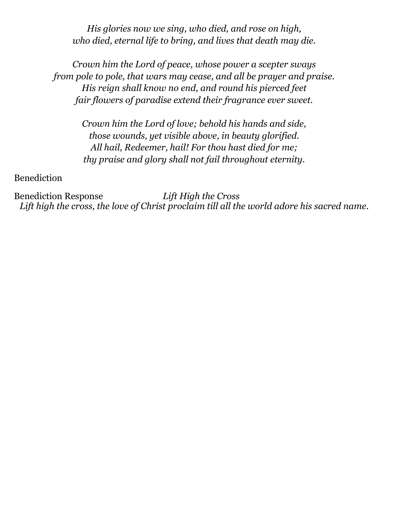*His glories now we sing, who died, and rose on high, who died, eternal life to bring, and lives that death may die.* 

*Crown him the Lord of peace, whose power a scepter sways from pole to pole, that wars may cease, and all be prayer and praise. His reign shall know no end, and round his pierced feet fair flowers of paradise extend their fragrance ever sweet.* 

> *Crown him the Lord of love; behold his hands and side, those wounds, yet visible above, in beauty glorified. All hail, Redeemer, hail! For thou hast died for me; thy praise and glory shall not fail throughout eternity.*

Benediction

Benediction Response *Lift High the Cross Lift high the cross, the love of Christ proclaim till all the world adore his sacred name.*